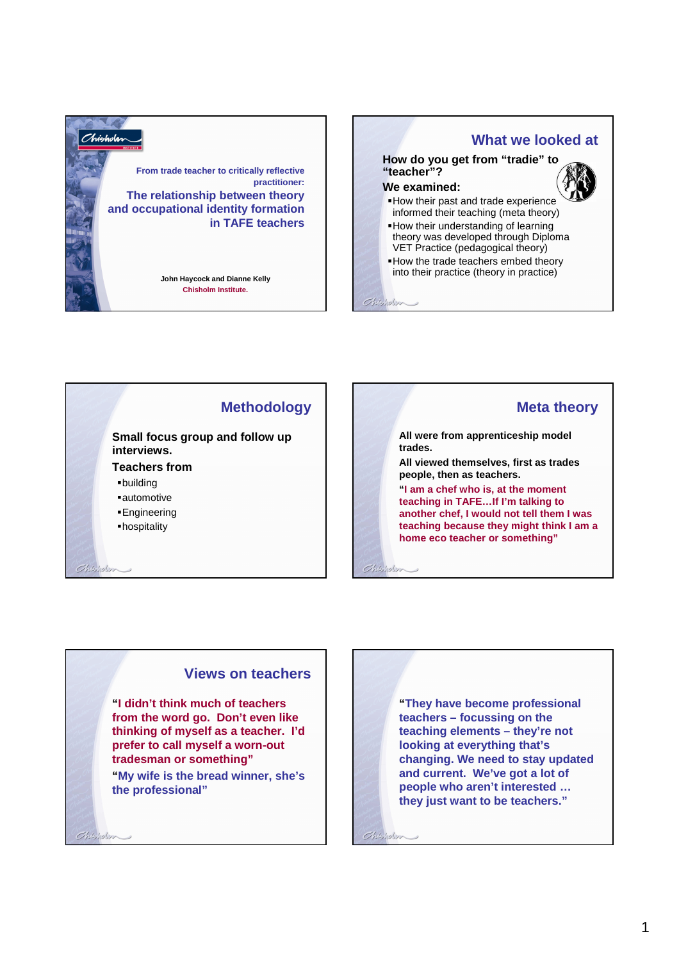

**What we looked at How do you get from "tradie" to** 

#### **We examined:**

**"teacher"?**

 $Chibhblim$ 

Chicholas

- How their past and trade experience informed their teaching (meta theory)
- How their understanding of learning theory was developed through Diploma VET Practice (pedagogical theory)
- How the trade teachers embed theory into their practice (theory in practice)





**All were from apprenticeship model trades.**

**All viewed themselves, first as trades people, then as teachers.**

**"I am a chef who is, at the moment teaching in TAFE…If I'm talking to another chef, I would not tell them I was teaching because they might think I am a home eco teacher or something"**

### **Views on teachers**

**"I didn't think much of teachers from the word go. Don't even like thinking of myself as a teacher. I'd prefer to call myself a worn-out tradesman or something"**

**"My wife is the bread winner, she's the professional"**

 $Q$ hteilein

**"They have become professional teachers – focussing on the teaching elements – they're not looking at everything that's changing. We need to stay updated and current. We've got a lot of people who aren't interested … they just want to be teachers."**